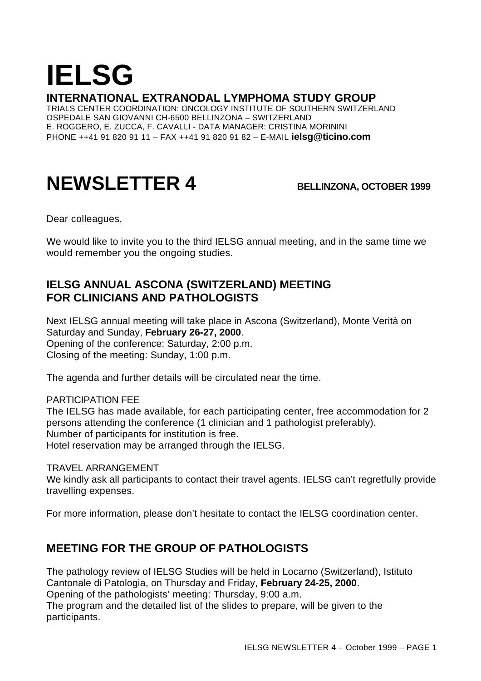# **IELSG**

#### **INTERNATIONAL EXTRANODAL LYMPHOMA STUDY GROUP**

TRIALS CENTER COORDINATION: ONCOLOGY INSTITUTE OF SOUTHERN SWITZERLAND OSPEDALE SAN GIOVANNI CH-6500 BELLINZONA – SWITZERLAND E. ROGGERO, E. ZUCCA, F. CAVALLI - DATA MANAGER: CRISTINA MORININI PHONE ++41 91 820 91 11 – FAX ++41 91 820 91 82 – E-MAIL **ielsg@ticino.com**

## **NEWSLETTER 4 BELLINZONA, OCTOBER 1999**

Dear colleagues,

We would like to invite you to the third IELSG annual meeting, and in the same time we would remember you the ongoing studies.

#### **IELSG ANNUAL ASCONA (SWITZERLAND) MEETING FOR CLINICIANS AND PATHOLOGISTS**

Next IELSG annual meeting will take place in Ascona (Switzerland), Monte Verità on Saturday and Sunday, **February 26-27, 2000**. Opening of the conference: Saturday, 2:00 p.m. Closing of the meeting: Sunday, 1:00 p.m.

The agenda and further details will be circulated near the time.

PARTICIPATION FEE

The IELSG has made available, for each participating center, free accommodation for 2 persons attending the conference (1 clinician and 1 pathologist preferably). Number of participants for institution is free. Hotel reservation may be arranged through the IELSG.

#### TRAVEL ARRANGEMENT

We kindly ask all participants to contact their travel agents. IELSG can't regretfully provide travelling expenses.

For more information, please don't hesitate to contact the IELSG coordination center.

#### **MEETING FOR THE GROUP OF PATHOLOGISTS**

The pathology review of IELSG Studies will be held in Locarno (Switzerland), Istituto Cantonale di Patologia, on Thursday and Friday, **February 24-25, 2000**. Opening of the pathologists' meeting: Thursday, 9:00 a.m. The program and the detailed list of the slides to prepare, will be given to the participants.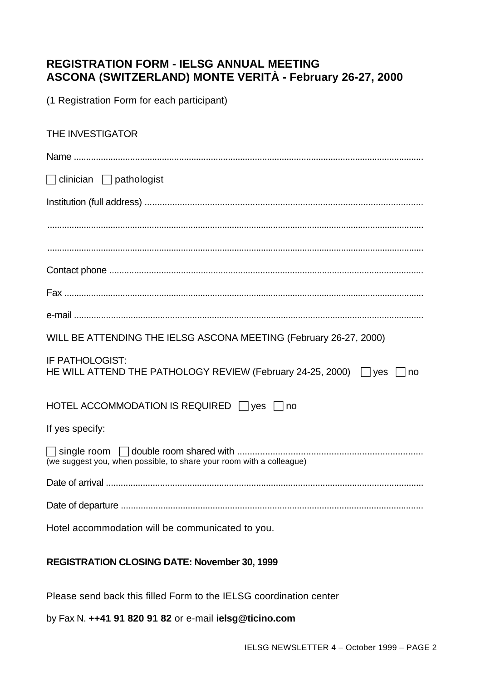#### **REGISTRATION FORM - IELSG ANNUAL MEETING ASCONA (SWITZERLAND) MONTE VERITÀ - February 26-27, 2000**

(1 Registration Form for each participant)

### THE INVESTIGATOR Name ...............................................................................................................................................  $\Box$  clinician  $\Box$  pathologist Institution (full address) ............................................................................................................... ........................................................................................................................................................... ........................................................................................................................................................... Contact phone ............................................................................................................................... Fax .................................................................................................................................................... e-mail .............................................................................................................................................. WILL BE ATTENDING THE IELSG ASCONA MEETING (February 26-27, 2000) IF PATHOLOGIST: HE WILL ATTEND THE PATHOLOGY REVIEW (February 24-25, 2000)  $\Box$  yes  $\Box$  no HOTEL ACCOMMODATION IS REQUIRED  $\Box$  yes  $\Box$  no If yes specify: c single room c double room shared with ......................................................................... (we suggest you, when possible, to share your room with a colleague) Date of arrival ................................................................................................................................. Date of departure .......................................................................................................................... Hotel accommodation will be communicated to you.

#### **REGISTRATION CLOSING DATE: November 30, 1999**

Please send back this filled Form to the IELSG coordination center

by Fax N. **++41 91 820 91 82** or e-mail **ielsg@ticino.com**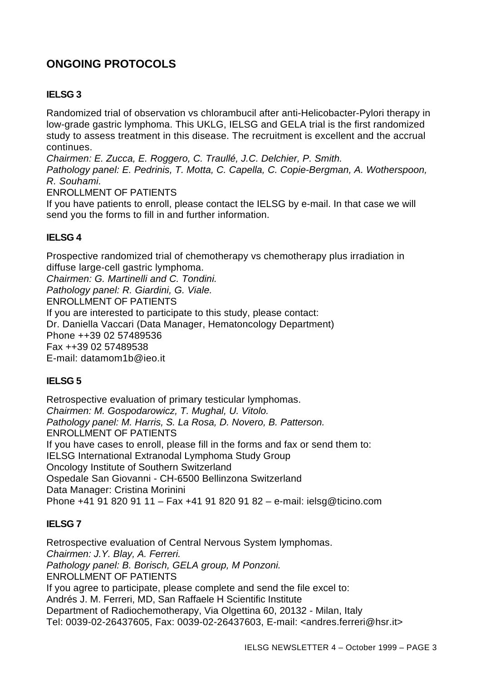### **ONGOING PROTOCOLS**

#### **IELSG 3**

Randomized trial of observation vs chlorambucil after anti-Helicobacter-Pylori therapy in low-grade gastric lymphoma. This UKLG, IELSG and GELA trial is the first randomized study to assess treatment in this disease. The recruitment is excellent and the accrual continues.

*Chairmen: E. Zucca, E. Roggero, C. Traullé, J.C. Delchier, P. Smith.*

*Pathology panel: E. Pedrinis, T. Motta, C. Capella, C. Copie-Bergman, A. Wotherspoon, R. Souhami.*

ENROLLMENT OF PATIENTS

If you have patients to enroll, please contact the IELSG by e-mail. In that case we will send you the forms to fill in and further information.

#### **IELSG 4**

Prospective randomized trial of chemotherapy vs chemotherapy plus irradiation in diffuse large-cell gastric lymphoma. *Chairmen: G. Martinelli and C. Tondini. Pathology panel: R. Giardini, G. Viale.* ENROLLMENT OF PATIENTS If you are interested to participate to this study, please contact: Dr. Daniella Vaccari (Data Manager, Hematoncology Department) Phone ++39 02 57489536 Fax ++39 02 57489538 E-mail: datamom1b@ieo.it

#### **IELSG 5**

Retrospective evaluation of primary testicular lymphomas. *Chairmen: M. Gospodarowicz, T. Mughal, U. Vitolo. Pathology panel: M. Harris, S. La Rosa, D. Novero, B. Patterson.* ENROLLMENT OF PATIENTS If you have cases to enroll, please fill in the forms and fax or send them to: IELSG International Extranodal Lymphoma Study Group Oncology Institute of Southern Switzerland Ospedale San Giovanni - CH-6500 Bellinzona Switzerland Data Manager: Cristina Morinini Phone +41 91 820 91 11 – Fax +41 91 820 91 82 – e-mail: ielsg@ticino.com

#### **IELSG 7**

Retrospective evaluation of Central Nervous System lymphomas. *Chairmen: J.Y. Blay, A. Ferreri. Pathology panel: B. Borisch, GELA group, M Ponzoni.* ENROLLMENT OF PATIENTS If you agree to participate, please complete and send the file excel to: Andrés J. M. Ferreri, MD, San Raffaele H Scientific Institute Department of Radiochemotherapy, Via Olgettina 60, 20132 - Milan, Italy Tel: 0039-02-26437605, Fax: 0039-02-26437603, E-mail: <andres.ferreri@hsr.it>